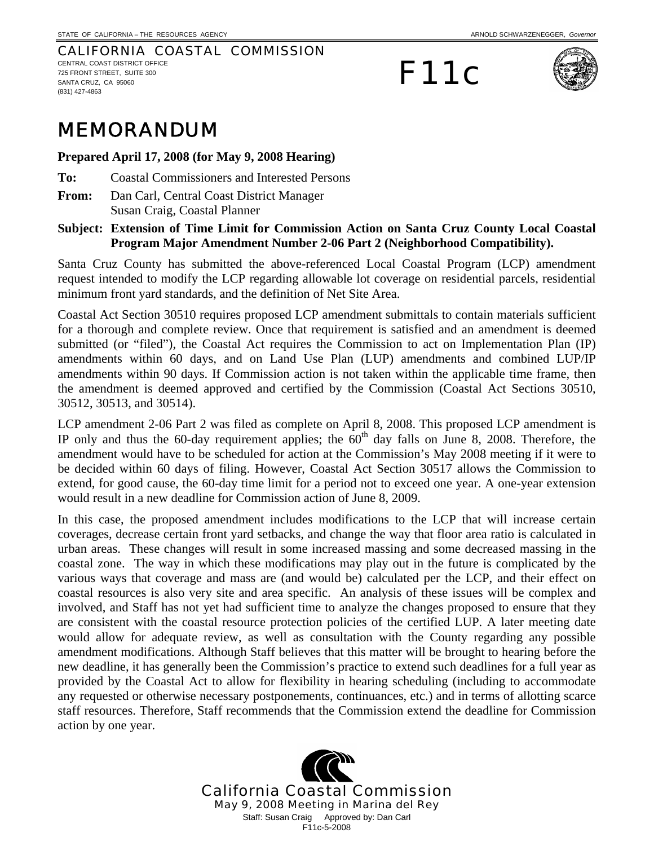#### CALIFORNIA COASTAL COMMISSION CENTRAL COAST DISTRICT OFFICE 725 FRONT STREET, SUITE 300 SANTA CRUZ, CA 95060 (831) 427-4863

# F11c



## MEMORANDUM

**Prepared April 17, 2008 (for May 9, 2008 Hearing)** 

- **To:** Coastal Commissioners and Interested Persons
- **From:** Dan Carl, Central Coast District Manager Susan Craig, Coastal Planner

## **Subject: Extension of Time Limit for Commission Action on Santa Cruz County Local Coastal Program Major Amendment Number 2-06 Part 2 (Neighborhood Compatibility).**

Santa Cruz County has submitted the above-referenced Local Coastal Program (LCP) amendment request intended to modify the LCP regarding allowable lot coverage on residential parcels, residential minimum front yard standards, and the definition of Net Site Area.

Coastal Act Section 30510 requires proposed LCP amendment submittals to contain materials sufficient for a thorough and complete review. Once that requirement is satisfied and an amendment is deemed submitted (or "filed"), the Coastal Act requires the Commission to act on Implementation Plan (IP) amendments within 60 days, and on Land Use Plan (LUP) amendments and combined LUP/IP amendments within 90 days. If Commission action is not taken within the applicable time frame, then the amendment is deemed approved and certified by the Commission (Coastal Act Sections 30510, 30512, 30513, and 30514).

LCP amendment 2-06 Part 2 was filed as complete on April 8, 2008. This proposed LCP amendment is IP only and thus the 60-day requirement applies; the  $60<sup>th</sup>$  day falls on June 8, 2008. Therefore, the amendment would have to be scheduled for action at the Commission's May 2008 meeting if it were to be decided within 60 days of filing. However, Coastal Act Section 30517 allows the Commission to extend, for good cause, the 60-day time limit for a period not to exceed one year. A one-year extension would result in a new deadline for Commission action of June 8, 2009.

In this case, the proposed amendment includes modifications to the LCP that will increase certain coverages, decrease certain front yard setbacks, and change the way that floor area ratio is calculated in urban areas. These changes will result in some increased massing and some decreased massing in the coastal zone. The way in which these modifications may play out in the future is complicated by the various ways that coverage and mass are (and would be) calculated per the LCP, and their effect on coastal resources is also very site and area specific. An analysis of these issues will be complex and involved, and Staff has not yet had sufficient time to analyze the changes proposed to ensure that they are consistent with the coastal resource protection policies of the certified LUP. A later meeting date would allow for adequate review, as well as consultation with the County regarding any possible amendment modifications. Although Staff believes that this matter will be brought to hearing before the new deadline, it has generally been the Commission's practice to extend such deadlines for a full year as provided by the Coastal Act to allow for flexibility in hearing scheduling (including to accommodate any requested or otherwise necessary postponements, continuances, etc.) and in terms of allotting scarce staff resources. Therefore, Staff recommends that the Commission extend the deadline for Commission action by one year.